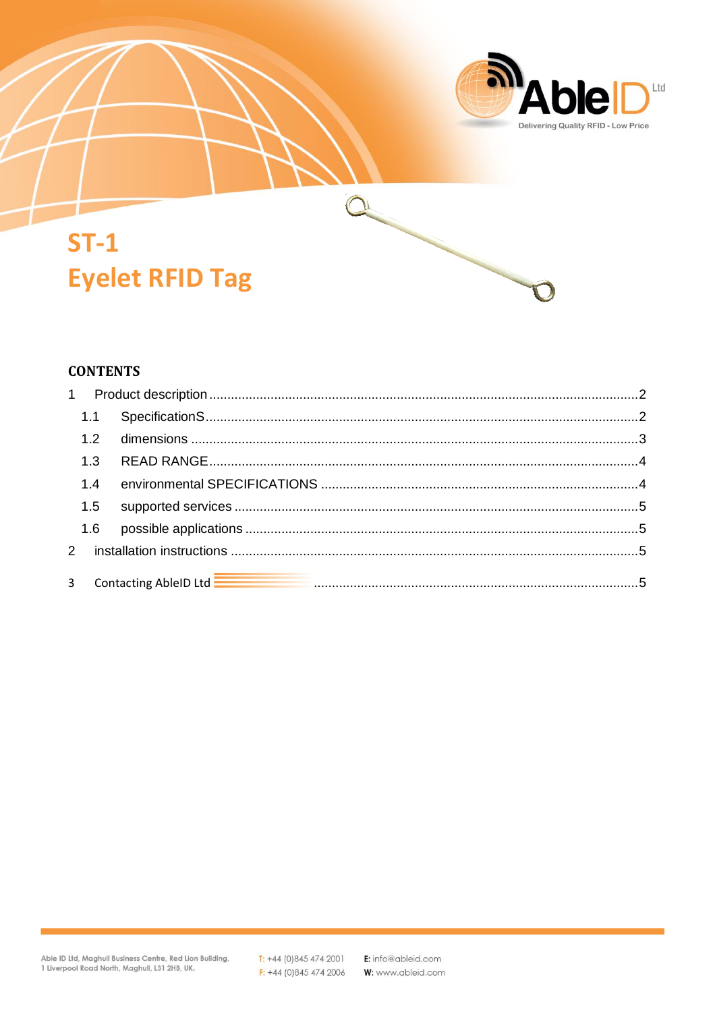

# $ST-1$ **Eyelet RFID Tag**

#### **CONTENTS**

| 1.2 |                                                                                                                                                                                                                                      |  |
|-----|--------------------------------------------------------------------------------------------------------------------------------------------------------------------------------------------------------------------------------------|--|
| 1.3 |                                                                                                                                                                                                                                      |  |
| 1.4 |                                                                                                                                                                                                                                      |  |
| 1.5 |                                                                                                                                                                                                                                      |  |
| 1.6 |                                                                                                                                                                                                                                      |  |
|     |                                                                                                                                                                                                                                      |  |
|     | 3 Contacting AbleID Ltd <b>Election Contact Contract Content Content Content Content Content Content Content Content Content Content Content Content Content Content Content Content Content Content Content Content Content Con</b> |  |

 $\sum_{i=1}^{n}$ 

 $T: +44(0)8454742001$  $F: +44(0)8454742006$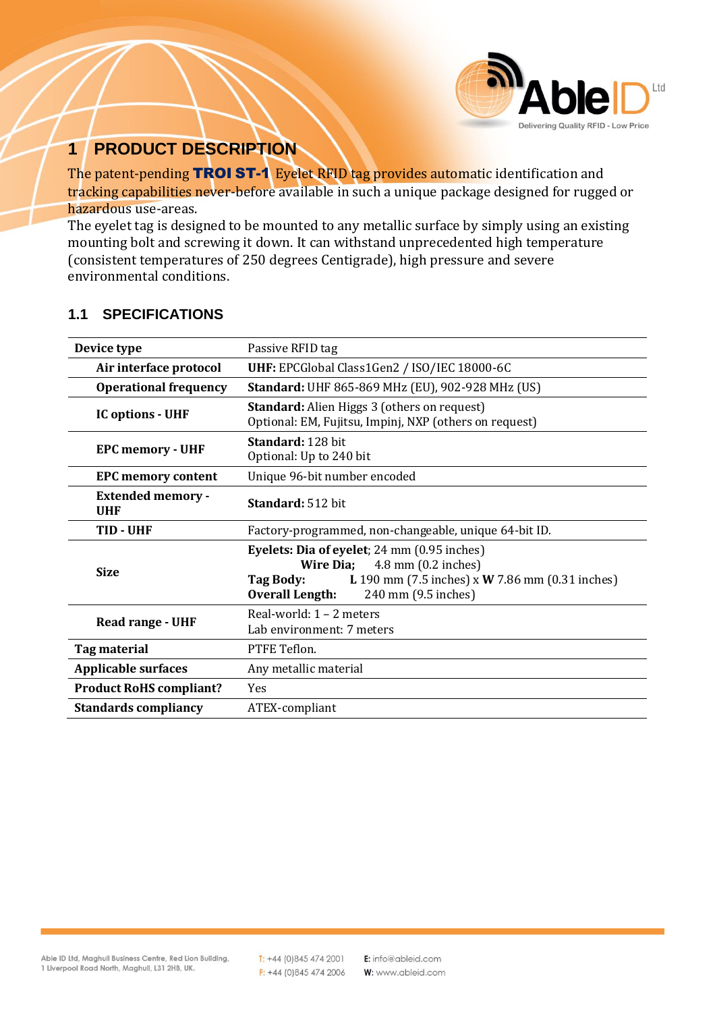

## <span id="page-1-0"></span>**1 PRODUCT DESCRIPTION**

The patent-pending TROI ST-1 Eyelet RFID tag provides automatic identification and tracking capabilities never-before available in such a unique package designed for rugged or hazardous use-areas.

The eyelet tag is designed to be mounted to any metallic surface by simply using an existing mounting bolt and screwing it down. It can withstand unprecedented high temperature (consistent temperatures of 250 degrees Centigrade), high pressure and severe environmental conditions.

| Device type                     | Passive RFID tag                                                                                                                                                                                                          |  |
|---------------------------------|---------------------------------------------------------------------------------------------------------------------------------------------------------------------------------------------------------------------------|--|
| Air interface protocol          | UHF: EPCGlobal Class1Gen2 / ISO/IEC 18000-6C                                                                                                                                                                              |  |
| <b>Operational frequency</b>    | Standard: UHF 865-869 MHz (EU), 902-928 MHz (US)                                                                                                                                                                          |  |
| <b>IC options - UHF</b>         | <b>Standard:</b> Alien Higgs 3 (others on request)<br>Optional: EM, Fujitsu, Impinj, NXP (others on request)                                                                                                              |  |
| <b>EPC memory - UHF</b>         | Standard: 128 bit<br>Optional: Up to 240 bit                                                                                                                                                                              |  |
| <b>EPC memory content</b>       | Unique 96-bit number encoded                                                                                                                                                                                              |  |
| <b>Extended memory -</b><br>UHF | Standard: 512 bit                                                                                                                                                                                                         |  |
| TID - UHF                       | Factory-programmed, non-changeable, unique 64-bit ID.                                                                                                                                                                     |  |
| <b>Size</b>                     | Eyelets: Dia of eyelet; 24 mm (0.95 inches)<br>$4.8$ mm $(0.2$ inches)<br><b>Wire Dia;</b><br><b>L</b> 190 mm (7.5 inches) x <b>W</b> 7.86 mm (0.31 inches)<br>Tag Body:<br><b>Overall Length:</b><br>240 mm (9.5 inches) |  |
| Read range - UHF                | Real-world: $1 - 2$ meters<br>Lab environment: 7 meters                                                                                                                                                                   |  |
| Tag material                    | PTFE Teflon.                                                                                                                                                                                                              |  |
| <b>Applicable surfaces</b>      | Any metallic material                                                                                                                                                                                                     |  |
| <b>Product RoHS compliant?</b>  | Yes                                                                                                                                                                                                                       |  |
| <b>Standards compliancy</b>     | ATEX-compliant                                                                                                                                                                                                            |  |

#### <span id="page-1-1"></span>**1.1 SPECIFICATIONS**

Able ID Ltd, Maghull Business Centre, Red Lion Building, 1 Liverpool Road North, Maghull, L31 2HB, UK.

 $T: +44(0)8454742001$  $F: +44(0)8454742006$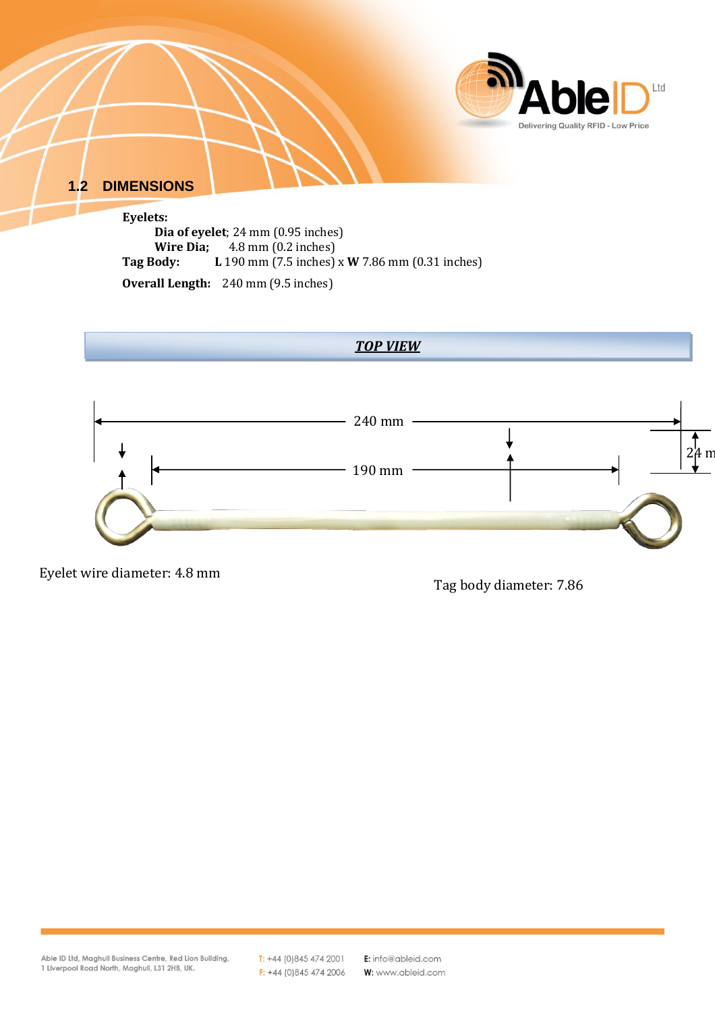

*TOP VIEW*

240 mm

190 mm

Eyelet wire diameter: 4.8 mm

<span id="page-2-0"></span>**Overall Length:** 240 mm (9.5 inches)

Tag body diameter: 7.86

 $\int_{2\mu}$  m

Able ID Ltd, Maghull Business Centre, Red Lion Building, 1 Liverpool Road North, Maghull, L31 2HB, UK.

 $T: +44(0)8454742001$  $F: +44(0)8454742006$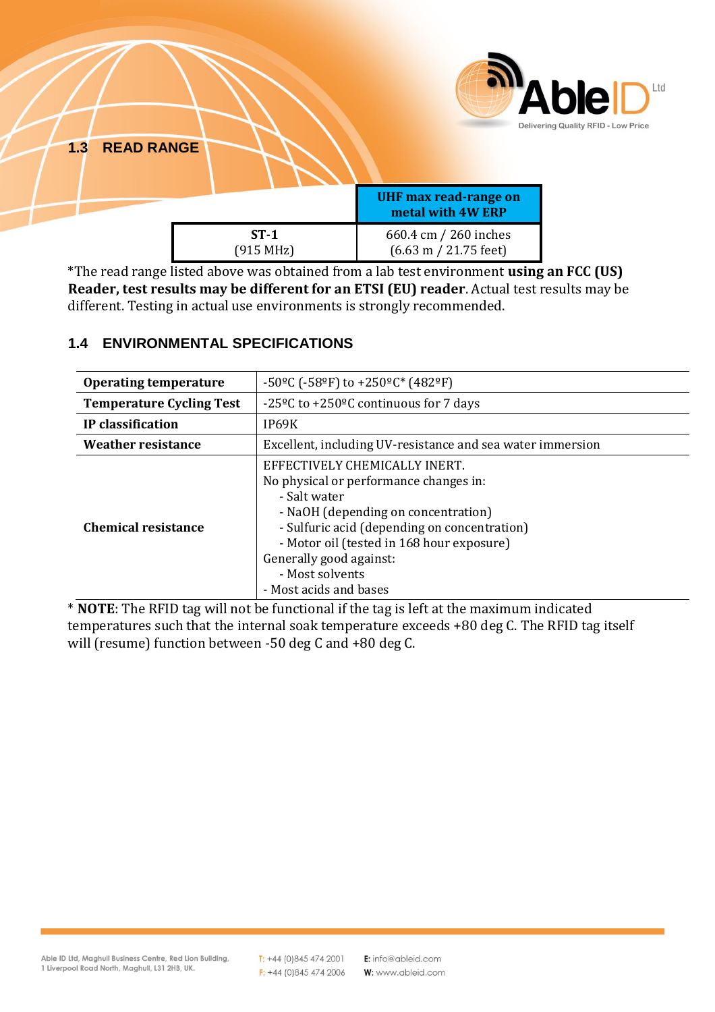<span id="page-3-0"></span>

| <b>1.3 READ RANGE</b> |                     | <b>UHF max read-range on</b><br>metal with 4W ERP                | <b>Able</b><br>Delivering Quality RFID - |
|-----------------------|---------------------|------------------------------------------------------------------|------------------------------------------|
|                       | $ST-1$<br>(915 MHz) | 660.4 cm / 260 inches<br>$(6.63 \text{ m} / 21.75 \text{ feet})$ |                                          |

\*The read range listed above was obtained from a lab test environment **using an FCC (US) Reader, test results may be different for an ETSI (EU) reader**. Actual test results may be different. Testing in actual use environments is strongly recommended.

# **Operating temperature**  $\vert$  -50<sup>o</sup>C (-58<sup>o</sup>F) to +250<sup>o</sup>C<sup>\*</sup> (482<sup>o</sup>F) **Temperature Cycling Test** | -25<sup>o</sup>C to +250<sup>o</sup>C continuous for 7 days **IP classification I** IP69K **Weather resistance** Excellent, including UV-resistance and sea water immersion EFFECTIVELY CHEMICALLY INERT.

- Salt water

Generally good against: - Most solvents - Most acids and bases

#### <span id="page-3-1"></span>**1.4 ENVIRONMENTAL SPECIFICATIONS**

\* **NOTE**: The RFID tag will not be functional if the tag is left at the maximum indicated temperatures such that the internal soak temperature exceeds +80 deg C. The RFID tag itself will (resume) function between -50 deg C and +80 deg C.

No physical or performance changes in:

- NaOH (depending on concentration)

- Sulfuric acid (depending on concentration) - Motor oil (tested in 168 hour exposure)

Ltd

Low Price

**Chemical resistance**

 $T: +44(0)8454742001$  $F: +44(0)8454742006$